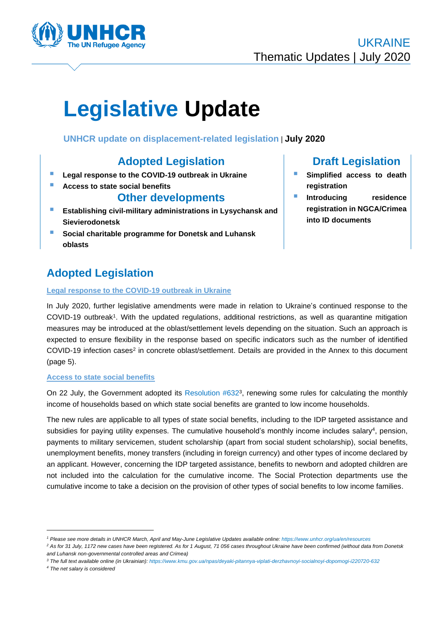

# **Legislative Update**

**UNHCR update on displacement-related legislation** | **July 2020**

## **Adopted Legislation**

- **E** Legal response to the COVID-19 outbreak in Ukraine
- **Access to state social benefits**

## **Other developments**

- **Establishing civil-military administrations in Lysychansk and Sievierodonetsk**
- **Social charitable programme for Donetsk and Luhansk oblasts**

# **Adopted Legislation**

## **Legal response to the COVID-19 outbreak in Ukraine**

## In July 2020, further legislative amendments were made in relation to Ukraine's continued response to the COVID-19 outbreak<sup>1</sup>. With the updated regulations, additional restrictions, as well as quarantine mitigation measures may be introduced at the oblast/settlement levels depending on the situation. Such an approach is expected to ensure flexibility in the response based on specific indicators such as the number of identified COVID-19 infection cases<sup>2</sup> in concrete oblast/settlement. Details are provided in the Annex to this document (page 5).

#### **Access to state social benefits**

On 22 July, the Government adopted its Resolution #632<sup>3</sup>, renewing some rules for calculating the monthly income of households based on which state social benefits are granted to low income households.

The new rules are applicable to all types of state social benefits, including to the IDP targeted assistance and subsidies for paying utility expenses. The cumulative household's monthly income includes salary<sup>4</sup>, pension, payments to military servicemen, student scholarship (apart from social student scholarship), social benefits, unemployment benefits, money transfers (including in foreign currency) and other types of income declared by an applicant. However, concerning the IDP targeted assistance, benefits to newborn and adopted children are not included into the calculation for the cumulative income. The Social Protection departments use the cumulative income to take a decision on the provision of other types of social benefits to low income families.

- *<sup>3</sup> The full text available online (in Ukrainian): <https://www.kmu.gov.ua/npas/deyaki-pitannya-viplati-derzhavnoyi-socialnoyi-dopomogi-i220720-632>*
- *<sup>4</sup> The net salary is considered*

# **Draft Legislation**

- **Simplified access to death registration**
- **Introducing residence registration in NGCA/Crimea into ID documents**

*<sup>1</sup> Please see more details in UNHCR March, April and May-June Legislative Updates available online[: https://www.unhcr.org/ua/en/resources](https://www.unhcr.org/ua/en/resources)*

*<sup>2</sup> As for 31 July, 1172 new cases have been registered. As for 1 August, 71 056 cases throughout Ukraine have been confirmed (without data from Donetsk and Luhansk non-governmental controlled areas and Crimea)*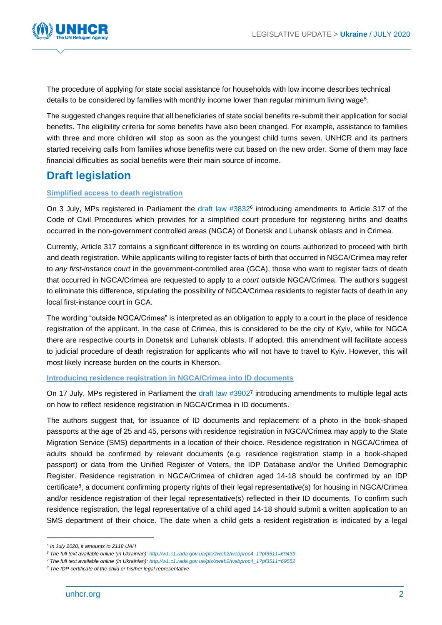

The procedure of applying for state social assistance for households with low income describes technical details to be considered by families with monthly income lower than regular minimum living wage<sup>5</sup>.

The suggested changes require that all beneficiaries of state social benefits re-submit their application for social benefits. The eligibility criteria for some benefits have also been changed. For example, assistance to families with three and more children will stop as soon as the youngest child turns seven. UNHCR and its partners started receiving calls from families whose benefits were cut based on the new order. Some of them may face financial difficulties as social benefits were their main source of income.

## **Draft legislation**

## **Simplified access to death registration**

On 3 July, MPs registered in Parliament the draft law #3832<sup>6</sup> introducing amendments to Article 317 of the Code of Civil Procedures which provides for a simplified court procedure for registering births and deaths occurred in the non-government controlled areas (NGCA) of Donetsk and Luhansk oblasts and in Crimea.

Currently, Article 317 contains a significant difference in its wording on courts authorized to proceed with birth and death registration. While applicants willing to register facts of birth that occurred in NGCA/Crimea may refer to *any first-instance court* in the government-controlled area (GCA), those who want to register facts of death that occurred in NGCA/Crimea are requested to apply to *a court* outside NGCA/Crimea. The authors suggest to eliminate this difference, stipulating the possibility of NGCA/Crimea residents to register facts of death in any local first-instance court in GCA.

The wording "outside NGCA/Crimea" is interpreted as an obligation to apply to a court in the place of residence registration of the applicant. In the case of Crimea, this is considered to be the city of Kyiv, while for NGCA there are respective courts in Donetsk and Luhansk oblasts. If adopted, this amendment will facilitate access to judicial procedure of death registration for applicants who will not have to travel to Kyiv. However, this will most likely increase burden on the courts in Kherson.

#### **Introducing residence registration in NGCA/Crimea into ID documents**

On 17 July, MPs registered in Parliament the draft law #39027 introducing amendments to multiple legal acts on how to reflect residence registration in NGCA/Crimea in ID documents.

The authors suggest that, for issuance of ID documents and replacement of a photo in the book-shaped passports at the age of 25 and 45, persons with residence registration in NGCA/Crimea may apply to the State Migration Service (SMS) departments in a location of their choice. Residence registration in NGCA/Crimea of adults should be confirmed by relevant documents (e.g. residence registration stamp in a book-shaped passport) or data from the Unified Register of Voters, the IDP Database and/or the Unified Demographic Register. Residence registration in NGCA/Crimea of children aged 14-18 should be confirmed by an IDP certificate<sup>8</sup>, a document confirming property rights of their legal representative(s) for housing in NGCA/Crimea and/or residence registration of their legal representative(s) reflected in their ID documents. To confirm such residence registration, the legal representative of a child aged 14-18 should submit a written application to an SMS department of their choice. The date when a child gets a resident registration is indicated by a legal

*<sup>5</sup> In July 2020, it amounts to 2118 UAH*

*<sup>6</sup> The full text available online (in Ukrainian)[: http://w1.c1.rada.gov.ua/pls/zweb2/webproc4\\_1?pf3511=69439](http://w1.c1.rada.gov.ua/pls/zweb2/webproc4_1?pf3511=69439)*

*<sup>7</sup> The full text available online (in Ukrainian)[: http://w1.c1.rada.gov.ua/pls/zweb2/webproc4\\_1?pf3511=69552](http://w1.c1.rada.gov.ua/pls/zweb2/webproc4_1?pf3511=69552)*

*<sup>8</sup> The IDP certificate of the child or his/her legal representative*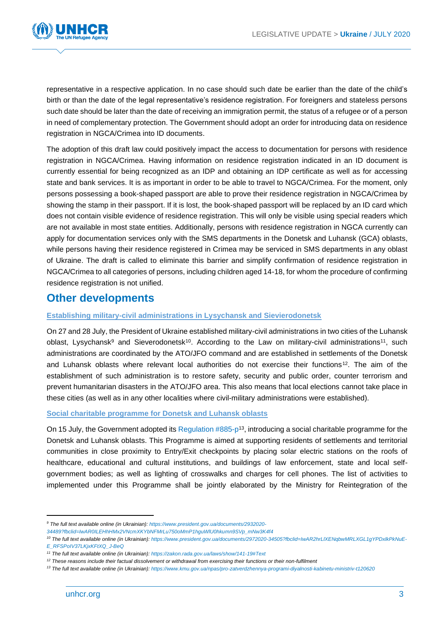

representative in a respective application. In no case should such date be earlier than the date of the child's birth or than the date of the legal representative's residence registration. For foreigners and stateless persons such date should be later than the date of receiving an immigration permit, the status of a refugee or of a person in need of complementary protection. The Government should adopt an order for introducing data on residence registration in NGCA/Crimea into ID documents.

The adoption of this draft law could positively impact the access to documentation for persons with residence registration in NGCA/Crimea. Having information on residence registration indicated in an ID document is currently essential for being recognized as an IDP and obtaining an IDP certificate as well as for accessing state and bank services. It is as important in order to be able to travel to NGCA/Crimea. For the moment, only persons possessing a book-shaped passport are able to prove their residence registration in NGCA/Crimea by showing the stamp in their passport. If it is lost, the book-shaped passport will be replaced by an ID card which does not contain visible evidence of residence registration. This will only be visible using special readers which are not available in most state entities. Additionally, persons with residence registration in NGCA currently can apply for documentation services only with the SMS departments in the Donetsk and Luhansk (GCA) oblasts, while persons having their residence registered in Crimea may be serviced in SMS departments in any oblast of Ukraine. The draft is called to eliminate this barrier and simplify confirmation of residence registration in NGCA/Crimea to all categories of persons, including children aged 14-18, for whom the procedure of confirming residence registration is not unified.

## **Other developments**

## **Establishing military-civil administrations in Lysychansk and Sievierodonetsk**

On 27 and 28 July, the President of Ukraine established military-civil administrations in two cities of the Luhansk oblast, Lysychansk<sup>9</sup> and Sieverodonetsk<sup>10</sup>. According to the Law on military-civil administrations<sup>11</sup>, such administrations are coordinated by the ATO/JFO command and are established in settlements of the Donetsk and Luhansk oblasts where relevant local authorities do not exercise their functions<sup>12</sup>. The aim of the establishment of such administration is to restore safety, security and public order, counter terrorism and prevent humanitarian disasters in the ATO/JFO area. This also means that local elections cannot take place in these cities (as well as in any other localities where civil-military administrations were established).

#### **Social charitable programme for Donetsk and Luhansk oblasts**

On 15 July, the Government adopted its Regulation #885-p<sup>13</sup>, introducing a social charitable programme for the Donetsk and Luhansk oblasts. This Programme is aimed at supporting residents of settlements and territorial communities in close proximity to Entry/Exit checkpoints by placing solar electric stations on the roofs of healthcare, educational and cultural institutions, and buildings of law enforcement, state and local selfgovernment bodies; as well as lighting of crosswalks and charges for cell phones. The list of activities to implemented under this Programme shall be jointly elaborated by the Ministry for Reintegration of the

*<sup>9</sup> The full text available online (in Ukrainian): [https://www.president.gov.ua/documents/2932020-](https://www.president.gov.ua/documents/2932020-34489?fbclid=IwAR0ILEHhHMx2VNcmXKYbNFMrLu750oMmP1hguWlU0hkumn9SVp_mNw3K4f4)*

*[<sup>34489?</sup>fbclid=IwAR0ILEHhHMx2VNcmXKYbNFMrLu750oMmP1hguWlU0hkumn9SVp\\_mNw3K4f4](https://www.president.gov.ua/documents/2932020-34489?fbclid=IwAR0ILEHhHMx2VNcmXKYbNFMrLu750oMmP1hguWlU0hkumn9SVp_mNw3K4f4)*

*<sup>10</sup> The full text available online (in Ukrainian): [https://www.president.gov.ua/documents/2972020-34505?fbclid=IwAR2hrLlXENqbwMRLXGL1gYPDxlkPkNuE-](https://www.president.gov.ua/documents/2972020-34505?fbclid=IwAR2hrLlXENqbwMRLXGL1gYPDxlkPkNuE-E_RFSPoIV37LKjxKFtXQ_J-BeQ)[E\\_RFSPoIV37LKjxKFtXQ\\_J-BeQ](https://www.president.gov.ua/documents/2972020-34505?fbclid=IwAR2hrLlXENqbwMRLXGL1gYPDxlkPkNuE-E_RFSPoIV37LKjxKFtXQ_J-BeQ)*

*<sup>11</sup> The full text available online (in Ukrainian): <https://zakon.rada.gov.ua/laws/show/141-19#Text>*

<sup>&</sup>lt;sup>12</sup> These reasons include their factual dissolvement or withdrawal from exercising their functions or their non-fulfilment

*<sup>13</sup> The full text available online (in Ukrainian): <https://www.kmu.gov.ua/npas/pro-zatverdzhennya-programi-diyalnosti-kabinetu-ministriv-t120620>*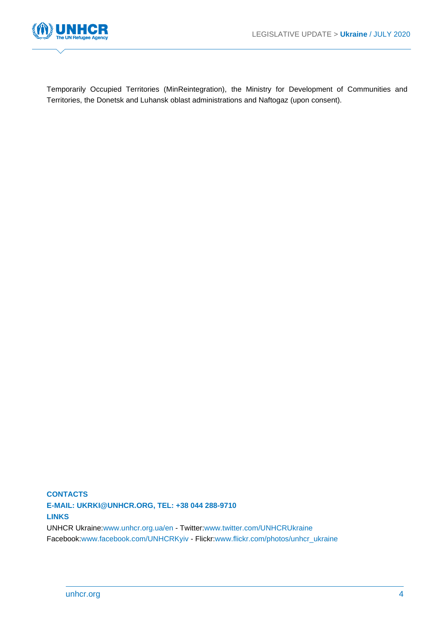

Temporarily Occupied Territories (MinReintegration), the Ministry for Development of Communities and Territories, the Donetsk and Luhansk oblast administrations and Naftogaz (upon consent).

**CONTACTS E-MAIL: UKRKI@UNHCR.ORG, TEL: +38 044 288-9710 LINKS** UNHCR Ukraine[:www.unhcr.org.ua/en](http://www.unhcr.org.ua/en) - Twitter[:www.twitter.com/UNHCRUkraine](http://www.twitter.com/UNHCRUkraine) Facebook[:www.facebook.com/UNHCRKyiv](http://www.facebook.com/UNHCRKyiv) - Flickr[:www.flickr.com/photos/unhcr\\_ukraine](http://www.flickr.com/photos/unhcr_ukraine)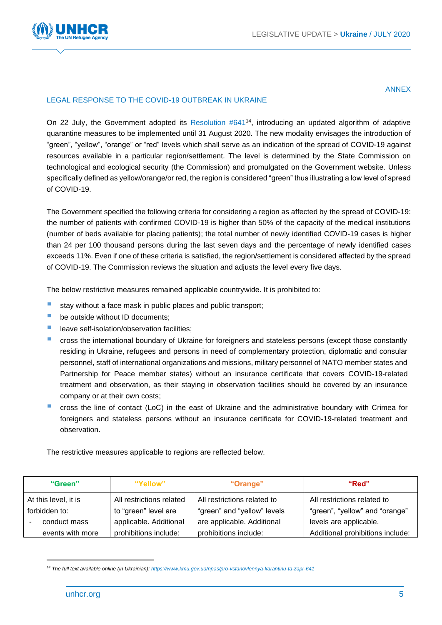

#### ANNEX

## LEGAL RESPONSE TO THE COVID-19 OUTBREAK IN UKRAINE

On 22 July, the Government adopted its Resolution #641<sup>14</sup>, introducing an updated algorithm of adaptive quarantine measures to be implemented until 31 August 2020. The new modality envisages the introduction of "green", "yellow", "orange" or "red" levels which shall serve as an indication of the spread of COVID-19 against resources available in a particular region/settlement. The level is determined by the State Commission on technological and ecological security (the Commission) and promulgated on the Government website. Unless specifically defined as yellow/orange/or red, the region is considered "green" thus illustrating a low level of spread of COVID-19.

The Government specified the following criteria for considering a region as affected by the spread of COVID-19: the number of patients with confirmed COVID-19 is higher than 50% of the capacity of the medical institutions (number of beds available for placing patients); the total number of newly identified COVID-19 cases is higher than 24 per 100 thousand persons during the last seven days and the percentage of newly identified cases exceeds 11%. Even if one of these criteria is satisfied, the region/settlement is considered affected by the spread of COVID-19. The Commission reviews the situation and adjusts the level every five days.

The below restrictive measures remained applicable countrywide. It is prohibited to:

- stay without a face mask in public places and public transport;
- be outside without ID documents:
- leave self-isolation/observation facilities:
- **EXP** cross the international boundary of Ukraine for foreigners and stateless persons (except those constantly residing in Ukraine, refugees and persons in need of complementary protection, diplomatic and consular personnel, staff of international organizations and missions, military personnel of NATO member states and Partnership for Peace member states) without an insurance certificate that covers COVID-19-related treatment and observation, as their staying in observation facilities should be covered by an insurance company or at their own costs;
- cross the line of contact (LoC) in the east of Ukraine and the administrative boundary with Crimea for foreigners and stateless persons without an insurance certificate for COVID-19-related treatment and observation.

The restrictive measures applicable to regions are reflected below.

| "Green"              | "Yellow"                 | "Orange"                    | "Red"                            |
|----------------------|--------------------------|-----------------------------|----------------------------------|
| At this level, it is | All restrictions related | All restrictions related to | All restrictions related to      |
| forbidden to:        | to "green" level are     | "green" and "yellow" levels | "green", "yellow" and "orange"   |
| conduct mass         | applicable. Additional   | are applicable. Additional  | levels are applicable.           |
| events with more     | prohibitions include:    | prohibitions include:       | Additional prohibitions include: |

*<sup>14</sup> The full text available online (in Ukrainian): <https://www.kmu.gov.ua/npas/pro-vstanovlennya-karantinu-ta-zapr-641>*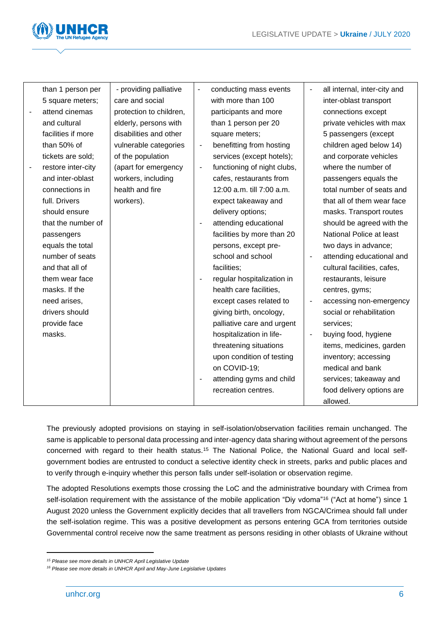

| than 1 person per  | - providing palliative  | $\qquad \qquad \blacksquare$ | conducting mass events      | $\overline{\phantom{a}}$ | all internal, inter-city and |
|--------------------|-------------------------|------------------------------|-----------------------------|--------------------------|------------------------------|
| 5 square meters;   | care and social         |                              | with more than 100          |                          | inter-oblast transport       |
| attend cinemas     | protection to children, |                              | participants and more       |                          | connections except           |
| and cultural       | elderly, persons with   |                              | than 1 person per 20        |                          | private vehicles with max    |
| facilities if more | disabilities and other  |                              | square meters;              |                          | 5 passengers (except         |
| than 50% of        | vulnerable categories   | $\blacksquare$               | benefitting from hosting    |                          | children aged below 14)      |
| tickets are sold;  | of the population       |                              | services (except hotels);   |                          | and corporate vehicles       |
| restore inter-city | (apart for emergency    | $\overline{\phantom{a}}$     | functioning of night clubs, |                          | where the number of          |
| and inter-oblast   | workers, including      |                              | cafes, restaurants from     |                          | passengers equals the        |
| connections in     | health and fire         |                              | 12:00 a.m. till 7:00 a.m.   |                          | total number of seats and    |
| full. Drivers      | workers).               |                              | expect takeaway and         |                          | that all of them wear face   |
| should ensure      |                         |                              | delivery options;           |                          | masks. Transport routes      |
| that the number of |                         |                              | attending educational       |                          | should be agreed with the    |
| passengers         |                         |                              | facilities by more than 20  |                          | National Police at least     |
| equals the total   |                         |                              | persons, except pre-        |                          | two days in advance;         |
| number of seats    |                         |                              | school and school           |                          | attending educational and    |
| and that all of    |                         |                              | facilities;                 |                          | cultural facilities, cafes,  |
| them wear face     |                         | $\blacksquare$               | regular hospitalization in  |                          | restaurants, leisure         |
| masks. If the      |                         |                              | health care facilities,     |                          | centres, gyms;               |
| need arises,       |                         |                              | except cases related to     |                          | accessing non-emergency      |
| drivers should     |                         |                              | giving birth, oncology,     |                          | social or rehabilitation     |
| provide face       |                         |                              | palliative care and urgent  |                          | services;                    |
| masks.             |                         |                              | hospitalization in life-    | $\blacksquare$           | buying food, hygiene         |
|                    |                         |                              | threatening situations      |                          | items, medicines, garden     |
|                    |                         |                              | upon condition of testing   |                          | inventory; accessing         |
|                    |                         |                              | on COVID-19;                |                          | medical and bank             |
|                    |                         |                              | attending gyms and child    |                          | services; takeaway and       |
|                    |                         |                              | recreation centres.         |                          | food delivery options are    |
|                    |                         |                              |                             |                          | allowed.                     |

The previously adopted provisions on staying in self-isolation/observation facilities remain unchanged. The same is applicable to personal data processing and inter-agency data sharing without agreement of the persons concerned with regard to their health status.<sup>15</sup> The National Police, the National Guard and local selfgovernment bodies are entrusted to conduct a selective identity check in streets, parks and public places and to verify through e-inquiry whether this person falls under self-isolation or observation regime.

The adopted Resolutions exempts those crossing the LoC and the administrative boundary with Crimea from self-isolation requirement with the assistance of the mobile application "Diy vdoma"<sup>16</sup> ("Act at home") since 1 August 2020 unless the Government explicitly decides that all travellers from NGCA/Crimea should fall under the self-isolation regime. This was a positive development as persons entering GCA from territories outside Governmental control receive now the same treatment as persons residing in other oblasts of Ukraine without

*<sup>15</sup> Please see more details in UNHCR April Legislative Update*

*<sup>16</sup> Please see more details in UNHCR April and May-June Legislative Updates*